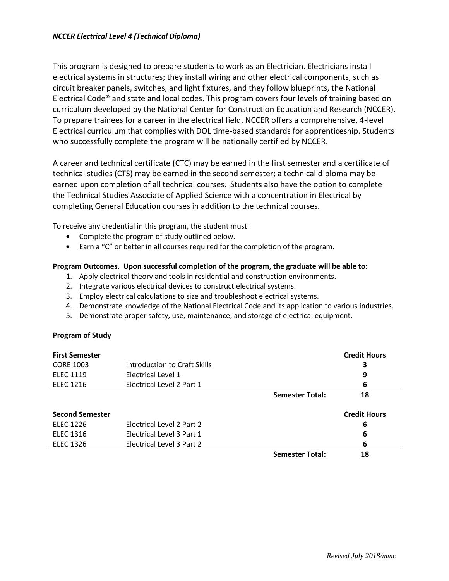This program is designed to prepare students to work as an Electrician. Electricians install electrical systems in structures; they install wiring and other electrical components, such as circuit breaker panels, switches, and light fixtures, and they follow blueprints, the National Electrical Code® and state and local codes. This program covers four levels of training based on curriculum developed by the National Center for Construction Education and Research (NCCER). To prepare trainees for a career in the electrical field, NCCER offers a comprehensive, 4-level Electrical curriculum that complies with DOL time-based standards for apprenticeship. Students who successfully complete the program will be nationally certified by NCCER.

A career and technical certificate (CTC) may be earned in the first semester and a certificate of technical studies (CTS) may be earned in the second semester; a technical diploma may be earned upon completion of all technical courses. Students also have the option to complete the Technical Studies Associate of Applied Science with a concentration in Electrical by completing General Education courses in addition to the technical courses.

To receive any credential in this program, the student must:

- Complete the program of study outlined below.
- Earn a "C" or better in all courses required for the completion of the program.

## **Program Outcomes. Upon successful completion of the program, the graduate will be able to:**

- 1. Apply electrical theory and tools in residential and construction environments.
- 2. Integrate various electrical devices to construct electrical systems.
- 3. Employ electrical calculations to size and troubleshoot electrical systems.
- 4. Demonstrate knowledge of the National Electrical Code and its application to various industries.
- 5. Demonstrate proper safety, use, maintenance, and storage of electrical equipment.

## **Program of Study**

| <b>First Semester</b>  |                              |                        | <b>Credit Hours</b> |
|------------------------|------------------------------|------------------------|---------------------|
| <b>CORE 1003</b>       | Introduction to Craft Skills |                        | 3                   |
| <b>ELEC 1119</b>       | Electrical Level 1           |                        | 9                   |
| <b>ELEC 1216</b>       | Electrical Level 2 Part 1    |                        | 6                   |
|                        |                              | <b>Semester Total:</b> | 18                  |
| <b>Second Semester</b> |                              |                        | <b>Credit Hours</b> |
| <b>ELEC 1226</b>       | Electrical Level 2 Part 2    |                        | 6                   |
| <b>ELEC 1316</b>       | Electrical Level 3 Part 1    |                        | 6                   |
| <b>ELEC 1326</b>       | Electrical Level 3 Part 2    |                        | 6                   |
|                        |                              | <b>Semester Total:</b> | 18                  |